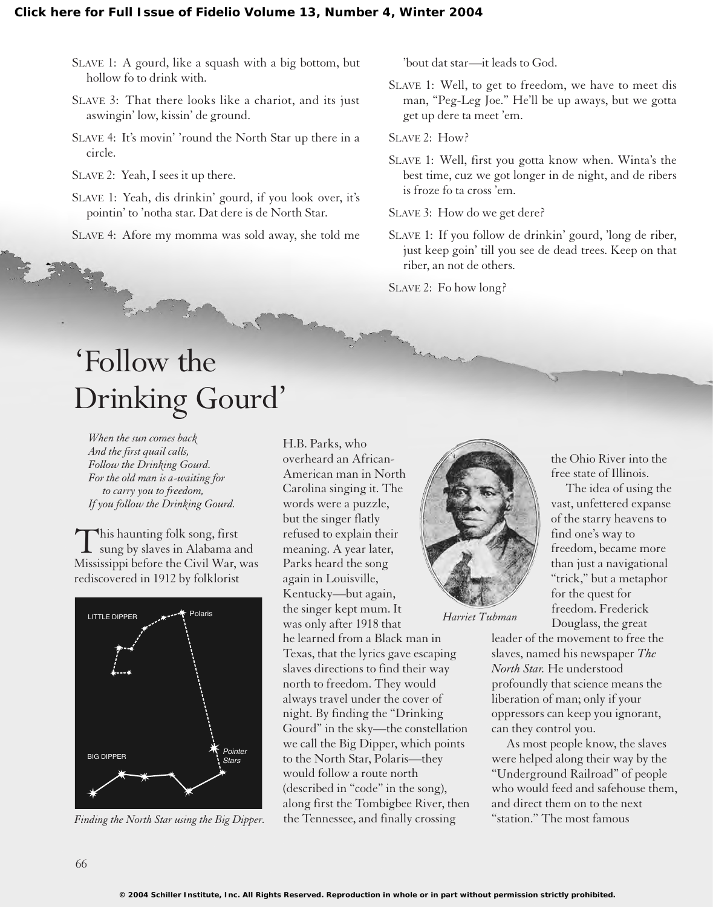- SLAVE 1: A gourd, like a squash with a big bottom, but hollow fo to drink with.
- SLAVE 3: That there looks like a chariot, and its just aswingin' low, kissin' de ground.
- SLAVE 4: It's movin' 'round the North Star up there in a circle.
- SLAVE 2: Yeah, I sees it up there.
- SLAVE 1: Yeah, dis drinkin' gourd, if you look over, it's pointin' to 'notha star. Dat dere is de North Star.
- SLAVE 4: Afore my momma was sold away, she told me

'bout dat star—it leads to God.

- SLAVE 1: Well, to get to freedom, we have to meet dis man, "Peg-Leg Joe." He'll be up aways, but we gotta get up dere ta meet 'em.
- SLAVE 2: How?
- SLAVE 1: Well, first you gotta know when. Winta's the best time, cuz we got longer in de night, and de ribers is froze fo ta cross 'em.
- SLAVE 3: How do we get dere?
- SLAVE 1: If you follow de drinkin' gourd, 'long de riber, just keep goin' till you see de dead trees. Keep on that riber, an not de others.

SLAVE 2: Fo how long?

## 'Follow the Drinking Gourd'

*When the sun comes back And the first quail calls, Follow the Drinking Gourd. For the old man is a-waiting for to carry you to freedom, If you follow the Drinking Gourd.*

This haunting folk song, first sung by slaves in Alabama and Mississippi before the Civil War, was rediscovered in 1912 by folklorist



*Finding the North Star using the Big Dipper.*

H.B. Parks, who overheard an African-American man in North Carolina singing it. The words were a puzzle, but the singer flatly refused to explain their meaning. A year later, Parks heard the song again in Louisville, Kentucky—but again, the singer kept mum. It was only after 1918 that he learned from a Black man in Texas, that the lyrics gave escaping slaves directions to find their way north to freedom. They would always travel under the cover of night. By finding the "Drinking Gourd" in the sky—the constellation we call the Big Dipper, which points to the North Star, Polaris—they would follow a route north (described in "code" in the song),



*Harriet Tubman*

the Ohio River into the free state of Illinois.

The idea of using the vast, unfettered expanse of the starry heavens to find one's way to freedom, became more than just a navigational "trick," but a metaphor for the quest for freedom. Frederick Douglass, the great

leader of the movement to free the slaves, named his newspaper *The North Star.* He understood profoundly that science means the liberation of man; only if your oppressors can keep you ignorant, can they control you.

As most people know, the slaves were helped along their way by the "Underground Railroad" of people who would feed and safehouse them, and direct them on to the next "station." The most famous

along first the Tombigbee River, then the Tennessee, and finally crossing